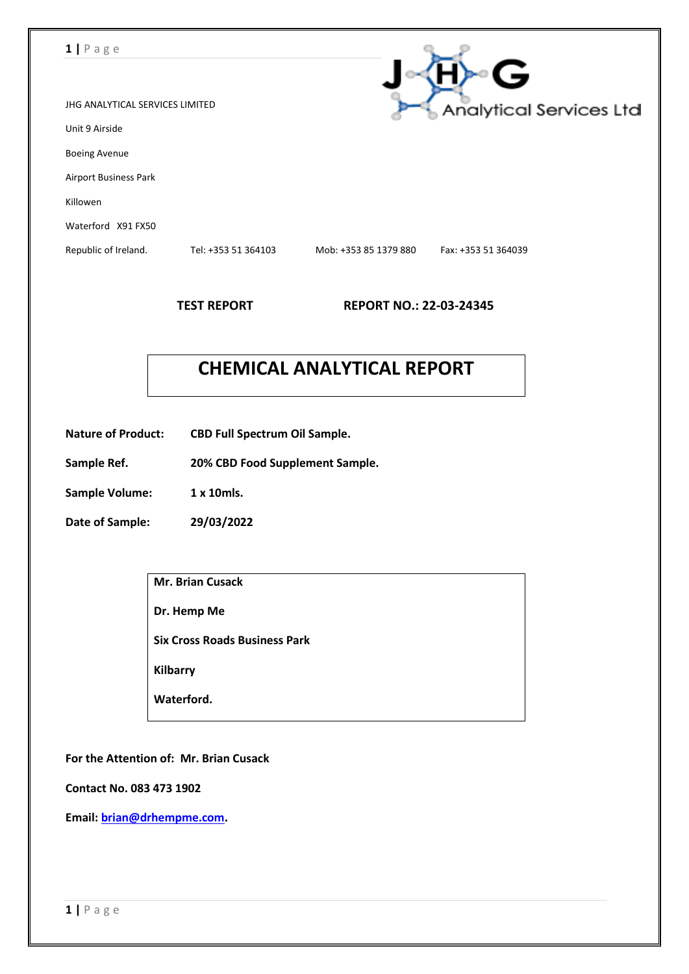### **1 |** P a g e

|                                 |                     |                       | ς                              |
|---------------------------------|---------------------|-----------------------|--------------------------------|
| JHG ANALYTICAL SERVICES LIMITED |                     |                       | <b>Analytical Services Ltd</b> |
| Unit 9 Airside                  |                     |                       |                                |
| <b>Boeing Avenue</b>            |                     |                       |                                |
| <b>Airport Business Park</b>    |                     |                       |                                |
| Killowen                        |                     |                       |                                |
| Waterford X91 FX50              |                     |                       |                                |
| Republic of Ireland.            | Tel: +353 51 364103 | Mob: +353 85 1379 880 | Fax: +353 51 364039            |
|                                 |                     |                       |                                |

**TEST REPORT REPORT NO.: 22-03-24345**

 $\sim$ 

# **CHEMICAL ANALYTICAL REPORT**

- **Nature of Product: CBD Full Spectrum Oil Sample.**
- **Sample Ref. 20% CBD Food Supplement Sample.**
- **Sample Volume: 1 x 10mls.**
- **Date of Sample: 29/03/2022**

| <b>Mr. Brian Cusack</b>              |
|--------------------------------------|
| Dr. Hemp Me                          |
| <b>Six Cross Roads Business Park</b> |
| <b>Kilbarry</b>                      |
| Waterford.                           |
|                                      |

**For the Attention of: Mr. Brian Cusack**

**Contact No. 083 473 1902**

**Email: [brian@drhempme.com.](mailto:brian@drhempme.com)**